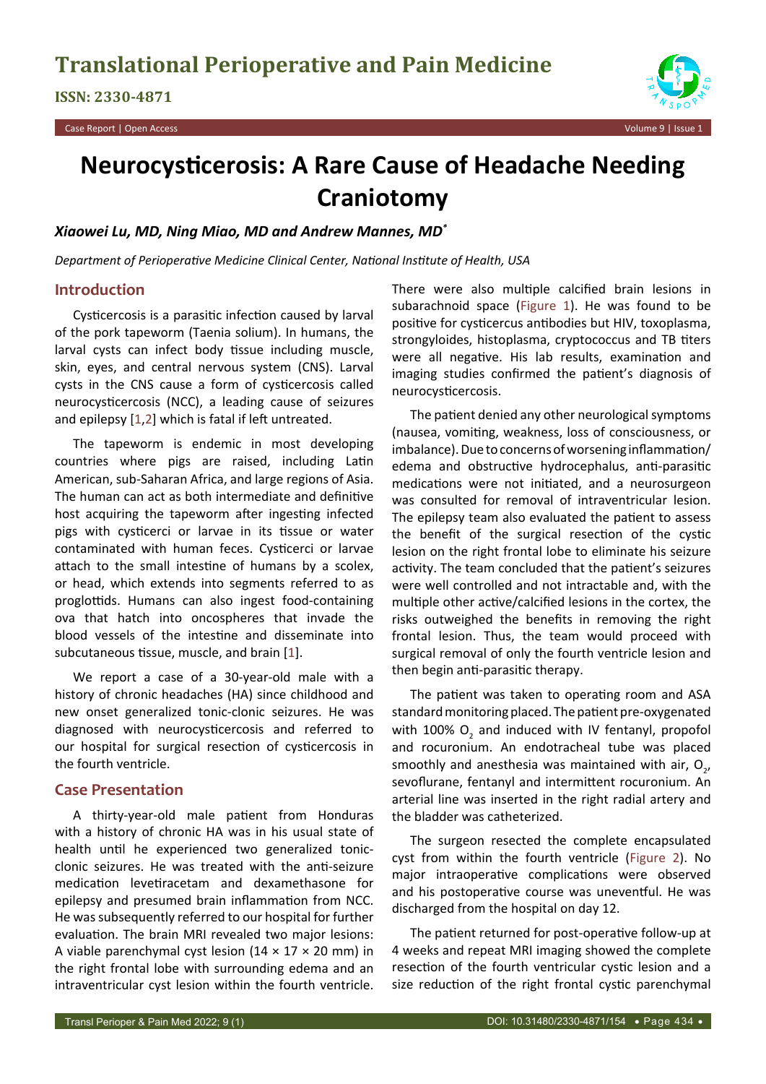

# **Neurocysticerosis: A Rare Cause of Headache Needing Craniotomy**

# *Xiaowei Lu, MD, Ning Miao, MD and Andrew Mannes, MD\**

*Department of Perioperative Medicine Clinical Center, National Institute of Health, USA*

# **Introduction**

Cysticercosis is a parasitic infection caused by larval of the pork tapeworm (Taenia solium). In humans, the larval cysts can infect body tissue including muscle, skin, eyes, and central nervous system (CNS). Larval cysts in the CNS cause a form of cysticercosis called neurocysticercosis (NCC), a leading cause of seizures and epilepsy [[1](#page-3-0),[2](#page-3-1)] which is fatal if left untreated.

The tapeworm is endemic in most developing countries where pigs are raised, including Latin American, sub-Saharan Africa, and large regions of Asia. The human can act as both intermediate and definitive host acquiring the tapeworm after ingesting infected pigs with cysticerci or larvae in its tissue or water contaminated with human feces. Cysticerci or larvae attach to the small intestine of humans by a scolex, or head, which extends into segments referred to as proglottids. Humans can also ingest food-containing ova that hatch into oncospheres that invade the blood vessels of the intestine and disseminate into subcutaneous tissue, muscle, and brain [[1](#page-3-0)].

We report a case of a 30-year-old male with a history of chronic headaches (HA) since childhood and new onset generalized tonic-clonic seizures. He was diagnosed with neurocysticercosis and referred to our hospital for surgical resection of cysticercosis in the fourth ventricle.

## **Case Presentation**

A thirty-year-old male patient from Honduras with a history of chronic HA was in his usual state of health until he experienced two generalized tonicclonic seizures. He was treated with the anti-seizure medication levetiracetam and dexamethasone for epilepsy and presumed brain inflammation from NCC. He was subsequently referred to our hospital for further evaluation. The brain MRI revealed two major lesions: A viable parenchymal cyst lesion ( $14 \times 17 \times 20$  mm) in the right frontal lobe with surrounding edema and an intraventricular cyst lesion within the fourth ventricle.

There were also multiple calcified brain lesions in subarachnoid space ([Figure 1](#page-1-0)). He was found to be positive for cysticercus antibodies but HIV, toxoplasma, strongyloides, histoplasma, cryptococcus and TB titers were all negative. His lab results, examination and imaging studies confirmed the patient's diagnosis of neurocysticercosis.

The patient denied any other neurological symptoms (nausea, vomiting, weakness, loss of consciousness, or imbalance). Due to concerns of worsening inflammation/ edema and obstructive hydrocephalus, anti-parasitic medications were not initiated, and a neurosurgeon was consulted for removal of intraventricular lesion. The epilepsy team also evaluated the patient to assess the benefit of the surgical resection of the cystic lesion on the right frontal lobe to eliminate his seizure activity. The team concluded that the patient's seizures were well controlled and not intractable and, with the multiple other active/calcified lesions in the cortex, the risks outweighed the benefits in removing the right frontal lesion. Thus, the team would proceed with surgical removal of only the fourth ventricle lesion and then begin anti-parasitic therapy.

The patient was taken to operating room and ASA standard monitoring placed. The patient pre-oxygenated with 100%  $O_2$  and induced with IV fentanyl, propofol and rocuronium. An endotracheal tube was placed smoothly and anesthesia was maintained with air,  $O_{2'}$ , sevoflurane, fentanyl and intermittent rocuronium. An arterial line was inserted in the right radial artery and the bladder was catheterized.

The surgeon resected the complete encapsulated cyst from within the fourth ventricle ([Figure 2](#page-1-1)). No major intraoperative complications were observed and his postoperative course was uneventful. He was discharged from the hospital on day 12.

The patient returned for post-operative follow-up at 4 weeks and repeat MRI imaging showed the complete resection of the fourth ventricular cystic lesion and a size reduction of the right frontal cystic parenchymal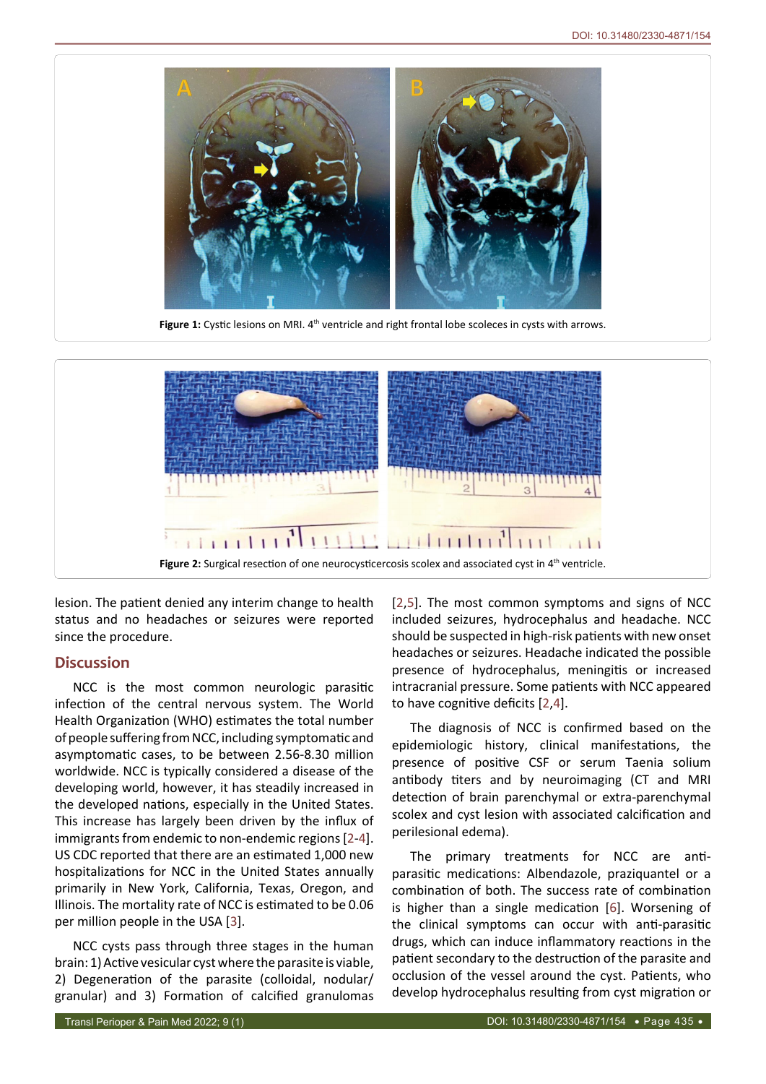<span id="page-1-0"></span>

<span id="page-1-1"></span>lesion. The patient denied any interim change to health status and no headaches or seizures were reported since the procedure.

## **Discussion**

NCC is the most common neurologic parasitic infection of the central nervous system. The World Health Organization (WHO) estimates the total number of people suffering from NCC, including symptomatic and asymptomatic cases, to be between 2.56-8.30 million worldwide. NCC is typically considered a disease of the developing world, however, it has steadily increased in the developed nations, especially in the United States. This increase has largely been driven by the influx of immigrants from endemic to non-endemic regions [[2](#page-3-1)-[4](#page-3-3)]. US CDC reported that there are an estimated 1,000 new hospitalizations for NCC in the United States annually primarily in New York, California, Texas, Oregon, and Illinois. The mortality rate of NCC is estimated to be 0.06 per million people in the USA [[3](#page-3-5)].

NCC cysts pass through three stages in the human brain: 1) Active vesicular cyst where the parasite is viable, 2) Degeneration of the parasite (colloidal, nodular/ granular) and 3) Formation of calcified granulomas [[2](#page-3-1),[5](#page-3-2)]. The most common symptoms and signs of NCC included seizures, hydrocephalus and headache. NCC should be suspected in high-risk patients with new onset headaches or seizures. Headache indicated the possible presence of hydrocephalus, meningitis or increased intracranial pressure. Some patients with NCC appeared to have cognitive deficits [[2](#page-3-1),[4\]](#page-3-3).

The diagnosis of NCC is confirmed based on the epidemiologic history, clinical manifestations, the presence of positive CSF or serum Taenia solium antibody titers and by neuroimaging (CT and MRI detection of brain parenchymal or extra-parenchymal scolex and cyst lesion with associated calcification and perilesional edema).

The primary treatments for NCC are antiparasitic medications: Albendazole, praziquantel or a combination of both. The success rate of combination is higher than a single medication [[6](#page-3-4)]. Worsening of the clinical symptoms can occur with anti-parasitic drugs, which can induce inflammatory reactions in the patient secondary to the destruction of the parasite and occlusion of the vessel around the cyst. Patients, who develop hydrocephalus resulting from cyst migration or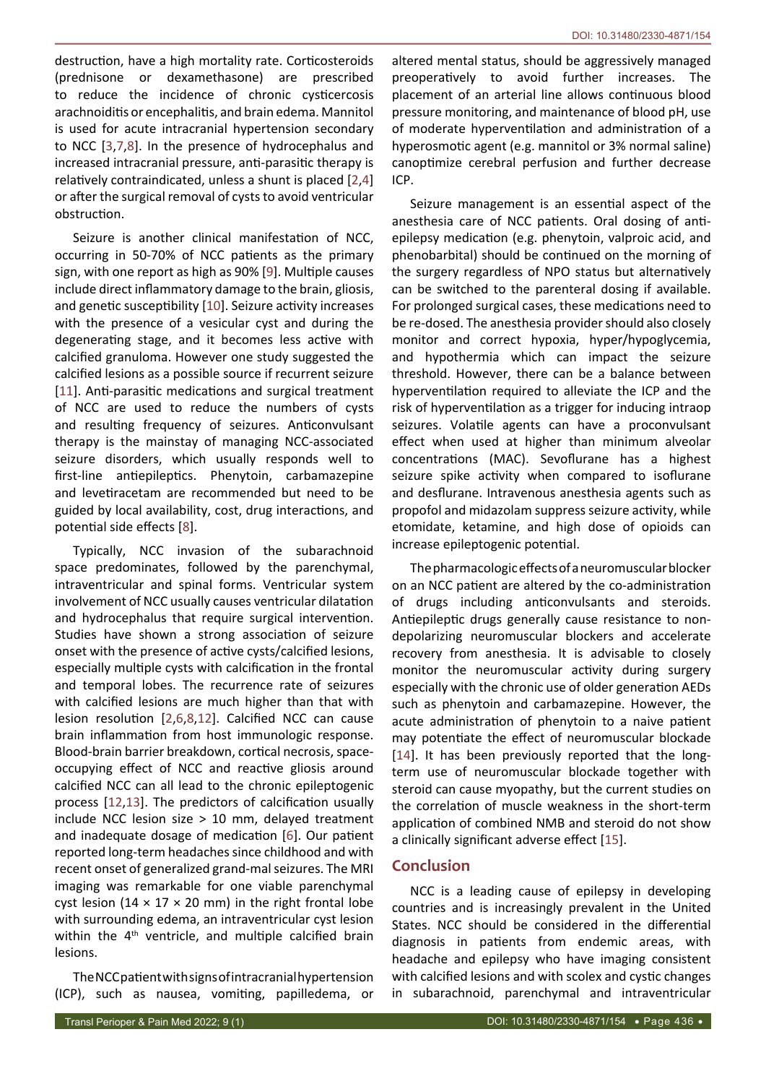destruction, have a high mortality rate. Corticosteroids (prednisone or dexamethasone) are prescribed to reduce the incidence of chronic cysticercosis arachnoiditis or encephalitis, and brain edema. Mannitol is used for acute intracranial hypertension secondary to NCC [\[3,](#page-3-5)[7](#page-3-8),[8](#page-3-9)]. In the presence of hydrocephalus and increased intracranial pressure, anti-parasitic therapy is relatively contraindicated, unless a shunt is placed [[2](#page-3-1),[4](#page-3-3)] or after the surgical removal of cysts to avoid ventricular obstruction.

Seizure is another clinical manifestation of NCC, occurring in 50-70% of NCC patients as the primary sign, with one report as high as 90% [[9\]](#page-3-10). Multiple causes include direct inflammatory damage to the brain, gliosis, and genetic susceptibility [\[10\]](#page-3-11). Seizure activity increases with the presence of a vesicular cyst and during the degenerating stage, and it becomes less active with calcified granuloma. However one study suggested the calcified lesions as a possible source if recurrent seizure [[11](#page-3-12)]. Anti-parasitic medications and surgical treatment of NCC are used to reduce the numbers of cysts and resulting frequency of seizures. Anticonvulsant therapy is the mainstay of managing NCC-associated seizure disorders, which usually responds well to first-line antiepileptics. Phenytoin, carbamazepine and levetiracetam are recommended but need to be guided by local availability, cost, drug interactions, and potential side effects [[8](#page-3-9)].

Typically, NCC invasion of the subarachnoid space predominates, followed by the parenchymal, intraventricular and spinal forms. Ventricular system involvement of NCC usually causes ventricular dilatation and hydrocephalus that require surgical intervention. Studies have shown a strong association of seizure onset with the presence of active cysts/calcified lesions, especially multiple cysts with calcification in the frontal and temporal lobes. The recurrence rate of seizures with calcified lesions are much higher than that with lesion resolution [[2](#page-3-1),[6](#page-3-4)[,8,](#page-3-9)[12\]](#page-3-13). Calcified NCC can cause brain inflammation from host immunologic response. Blood-brain barrier breakdown, cortical necrosis, spaceoccupying effect of NCC and reactive gliosis around calcified NCC can all lead to the chronic epileptogenic process [[12](#page-3-13),[13](#page-3-14)]. The predictors of calcification usually include NCC lesion size > 10 mm, delayed treatment and inadequate dosage of medication [[6](#page-3-4)]. Our patient reported long-term headaches since childhood and with recent onset of generalized grand-mal seizures. The MRI imaging was remarkable for one viable parenchymal cyst lesion (14  $\times$  17  $\times$  20 mm) in the right frontal lobe with surrounding edema, an intraventricular cyst lesion within the 4<sup>th</sup> ventricle, and multiple calcified brain lesions.

The NCC patient with signs of intracranial hypertension (ICP), such as nausea, vomiting, papilledema, or

altered mental status, should be aggressively managed preoperatively to avoid further increases. The placement of an arterial line allows continuous blood pressure monitoring, and maintenance of blood pH, use of moderate hyperventilation and administration of a hyperosmotic agent (e.g. mannitol or 3% normal saline) canoptimize cerebral perfusion and further decrease ICP.

Seizure management is an essential aspect of the anesthesia care of NCC patients. Oral dosing of antiepilepsy medication (e.g. phenytoin, valproic acid, and phenobarbital) should be continued on the morning of the surgery regardless of NPO status but alternatively can be switched to the parenteral dosing if available. For prolonged surgical cases, these medications need to be re-dosed. The anesthesia provider should also closely monitor and correct hypoxia, hyper/hypoglycemia, and hypothermia which can impact the seizure threshold. However, there can be a balance between hyperventilation required to alleviate the ICP and the risk of hyperventilation as a trigger for inducing intraop seizures. Volatile agents can have a proconvulsant effect when used at higher than minimum alveolar concentrations (MAC). Sevoflurane has a highest seizure spike activity when compared to isoflurane and desflurane. Intravenous anesthesia agents such as propofol and midazolam suppress seizure activity, while etomidate, ketamine, and high dose of opioids can increase epileptogenic potential.

The pharmacologic effects of a neuromuscular blocker on an NCC patient are altered by the co-administration of drugs including anticonvulsants and steroids. Antiepileptic drugs generally cause resistance to nondepolarizing neuromuscular blockers and accelerate recovery from anesthesia. It is advisable to closely monitor the neuromuscular activity during surgery especially with the chronic use of older generation AEDs such as phenytoin and carbamazepine. However, the acute administration of phenytoin to a naive patient may potentiate the effect of neuromuscular blockade [\[14](#page-3-6)]. It has been previously reported that the longterm use of neuromuscular blockade together with steroid can cause myopathy, but the current studies on the correlation of muscle weakness in the short-term application of combined NMB and steroid do not show a clinically significant adverse effect [\[15](#page-3-7)].

# **Conclusion**

NCC is a leading cause of epilepsy in developing countries and is increasingly prevalent in the United States. NCC should be considered in the differential diagnosis in patients from endemic areas, with headache and epilepsy who have imaging consistent with calcified lesions and with scolex and cystic changes in subarachnoid, parenchymal and intraventricular